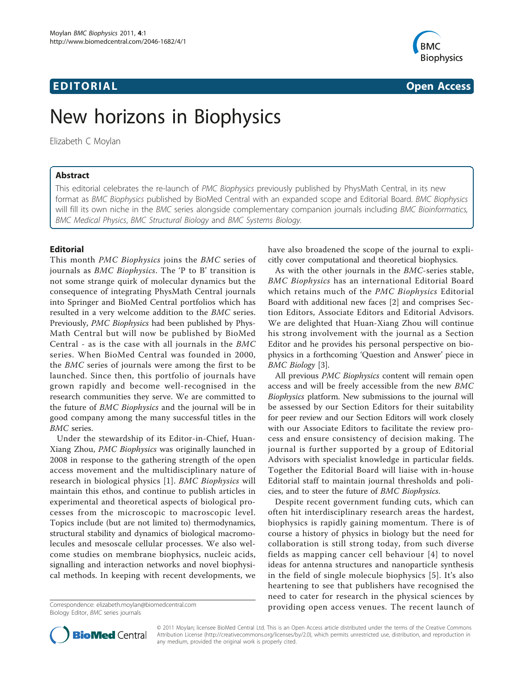# **EDITORIAL** CONTROL CONTROL CONTROL CONTROL CONTROL CONTROL CONTROL CONTROL CONTROL CONTROL CONTROL CONTROL CONTROL CONTROL CONTROL CONTROL CONTROL CONTROL CONTROL CONTROL CONTROL CONTROL CONTROL CONTROL CONTROL CONTROL CO



# New horizons in Biophysics

Elizabeth C Moylan

## Abstract

This editorial celebrates the re-launch of PMC Biophysics previously published by PhysMath Central, in its new format as BMC Biophysics published by BioMed Central with an expanded scope and Editorial Board. BMC Biophysics will fill its own niche in the BMC series alongside complementary companion journals including BMC Bioinformatics, BMC Medical Physics, BMC Structural Biology and BMC Systems Biology.

### Editorial

This month PMC Biophysics joins the BMC series of journals as BMC Biophysics. The 'P to B' transition is not some strange quirk of molecular dynamics but the consequence of integrating PhysMath Central journals into Springer and BioMed Central portfolios which has resulted in a very welcome addition to the BMC series. Previously, PMC Biophysics had been published by Phys-Math Central but will now be published by BioMed Central - as is the case with all journals in the BMC series. When BioMed Central was founded in 2000, the BMC series of journals were among the first to be launched. Since then, this portfolio of journals have grown rapidly and become well-recognised in the research communities they serve. We are committed to the future of BMC Biophysics and the journal will be in good company among the many successful titles in the BMC series.

Under the stewardship of its Editor-in-Chief, Huan-Xiang Zhou, PMC Biophysics was originally launched in 2008 in response to the gathering strength of the open access movement and the multidisciplinary nature of research in biological physics [[1](#page-2-0)]. BMC Biophysics will maintain this ethos, and continue to publish articles in experimental and theoretical aspects of biological processes from the microscopic to macroscopic level. Topics include (but are not limited to) thermodynamics, structural stability and dynamics of biological macromolecules and mesoscale cellular processes. We also welcome studies on membrane biophysics, nucleic acids, signalling and interaction networks and novel biophysical methods. In keeping with recent developments, we

Biology Editor, BMC series journals

have also broadened the scope of the journal to explicitly cover computational and theoretical biophysics.

As with the other journals in the BMC-series stable, BMC Biophysics has an international Editorial Board which retains much of the PMC Biophysics Editorial Board with additional new faces [[2\]](#page-2-0) and comprises Section Editors, Associate Editors and Editorial Advisors. We are delighted that Huan-Xiang Zhou will continue his strong involvement with the journal as a Section Editor and he provides his personal perspective on biophysics in a forthcoming 'Question and Answer' piece in BMC Biology [[3\]](#page-2-0).

All previous PMC Biophysics content will remain open access and will be freely accessible from the new BMC Biophysics platform. New submissions to the journal will be assessed by our Section Editors for their suitability for peer review and our Section Editors will work closely with our Associate Editors to facilitate the review process and ensure consistency of decision making. The journal is further supported by a group of Editorial Advisors with specialist knowledge in particular fields. Together the Editorial Board will liaise with in-house Editorial staff to maintain journal thresholds and policies, and to steer the future of BMC Biophysics.

Despite recent government funding cuts, which can often hit interdisciplinary research areas the hardest, biophysics is rapidly gaining momentum. There is of course a history of physics in biology but the need for collaboration is still strong today, from such diverse fields as mapping cancer cell behaviour [[4\]](#page-2-0) to novel ideas for antenna structures and nanoparticle synthesis in the field of single molecule biophysics [[5\]](#page-2-0). It's also heartening to see that publishers have recognised the need to cater for research in the physical sciences by providing open access venues. The recent launch of Correspondence: [elizabeth.moylan@biomedcentral.com](mailto:elizabeth.moylan@biomedcentral.com)



© 2011 Moylan; licensee BioMed Central Ltd. This is an Open Access article distributed under the terms of the Creative Commons Attribution License [\(http://creativecommons.org/licenses/by/2.0](http://creativecommons.org/licenses/by/2.0)), which permits unrestricted use, distribution, and reproduction in any medium, provided the original work is properly cited.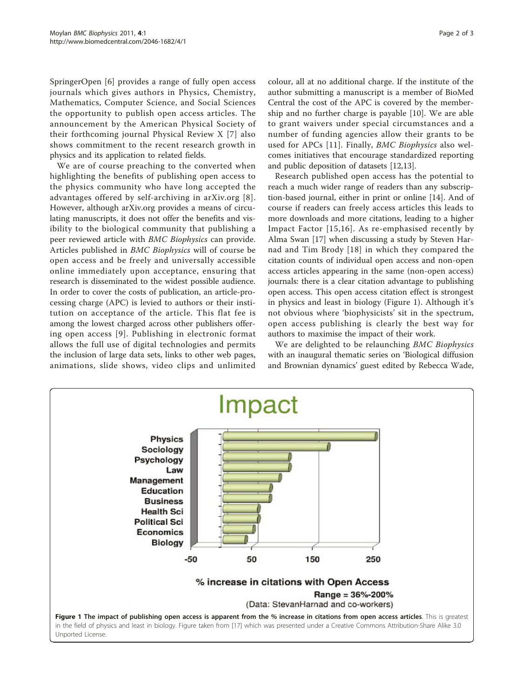SpringerOpen [\[6](#page-2-0)] provides a range of fully open access journals which gives authors in Physics, Chemistry, Mathematics, Computer Science, and Social Sciences the opportunity to publish open access articles. The announcement by the American Physical Society of their forthcoming journal Physical Review X [[7\]](#page-2-0) also shows commitment to the recent research growth in physics and its application to related fields.

We are of course preaching to the converted when highlighting the benefits of publishing open access to the physics community who have long accepted the advantages offered by self-archiving in arXiv.org [[8\]](#page-2-0). However, although arXiv.org provides a means of circulating manuscripts, it does not offer the benefits and visibility to the biological community that publishing a peer reviewed article with BMC Biophysics can provide. Articles published in BMC Biophysics will of course be open access and be freely and universally accessible online immediately upon acceptance, ensuring that research is disseminated to the widest possible audience. In order to cover the costs of publication, an article-processing charge (APC) is levied to authors or their institution on acceptance of the article. This flat fee is among the lowest charged across other publishers offering open access [[9](#page-2-0)]. Publishing in electronic format allows the full use of digital technologies and permits the inclusion of large data sets, links to other web pages, animations, slide shows, video clips and unlimited colour, all at no additional charge. If the institute of the author submitting a manuscript is a member of BioMed Central the cost of the APC is covered by the membership and no further charge is payable [[10\]](#page-2-0). We are able to grant waivers under special circumstances and a number of funding agencies allow their grants to be used for APCs [[11](#page-2-0)]. Finally, BMC Biophysics also welcomes initiatives that encourage standardized reporting and public deposition of datasets [\[12,13](#page-2-0)].

Research published open access has the potential to reach a much wider range of readers than any subscription-based journal, either in print or online [\[14\]](#page-2-0). And of course if readers can freely access articles this leads to more downloads and more citations, leading to a higher Impact Factor [[15,16\]](#page-2-0). As re-emphasised recently by Alma Swan [[17\]](#page-2-0) when discussing a study by Steven Harnad and Tim Brody [[18](#page-2-0)] in which they compared the citation counts of individual open access and non-open access articles appearing in the same (non-open access) journals: there is a clear citation advantage to publishing open access. This open access citation effect is strongest in physics and least in biology (Figure 1). Although it's not obvious where 'biophysicists' sit in the spectrum, open access publishing is clearly the best way for authors to maximise the impact of their work.

We are delighted to be relaunching BMC Biophysics with an inaugural thematic series on 'Biological diffusion and Brownian dynamics' guest edited by Rebecca Wade,